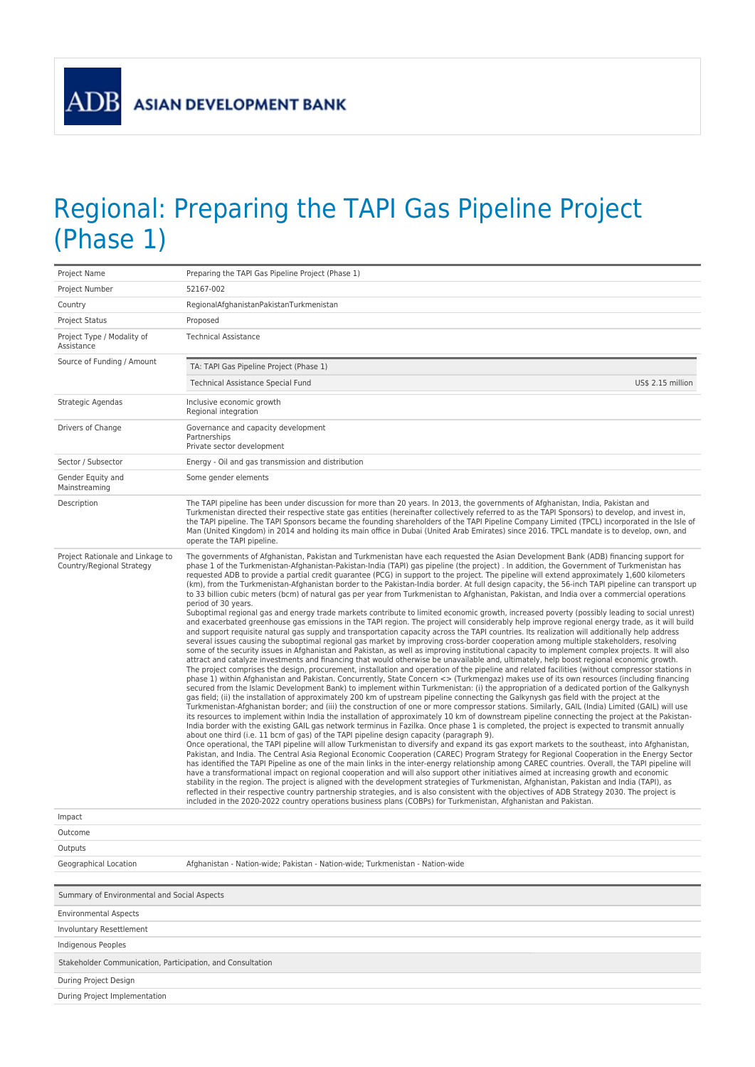**ADB** 

## Regional: Preparing the TAPI Gas Pipeline Project (Phase 1)

| Project Name                                                  | Preparing the TAPI Gas Pipeline Project (Phase 1)                                                                                                                                                                                                                                                                                                                                                                                                                                                                                                                                                                                                                                                                                                                                                                                                                                                                                                                                                                                                                                                                                                                                                                                                                                                                                                                                                                                                                                                                                                                                                                                                                                                                                                                                                                                                                                                                                                                                                                                                                                                                                                                                                                                                                                                                                                                                                                                                                                                                                                                                                                                                                                                                                                                                                                                                                                                                                                                                                                                                                                                                                                                                                                                                                                                                                                                                                                                                                                                                                                                                                                                                                                                                                                                                                                         |  |
|---------------------------------------------------------------|---------------------------------------------------------------------------------------------------------------------------------------------------------------------------------------------------------------------------------------------------------------------------------------------------------------------------------------------------------------------------------------------------------------------------------------------------------------------------------------------------------------------------------------------------------------------------------------------------------------------------------------------------------------------------------------------------------------------------------------------------------------------------------------------------------------------------------------------------------------------------------------------------------------------------------------------------------------------------------------------------------------------------------------------------------------------------------------------------------------------------------------------------------------------------------------------------------------------------------------------------------------------------------------------------------------------------------------------------------------------------------------------------------------------------------------------------------------------------------------------------------------------------------------------------------------------------------------------------------------------------------------------------------------------------------------------------------------------------------------------------------------------------------------------------------------------------------------------------------------------------------------------------------------------------------------------------------------------------------------------------------------------------------------------------------------------------------------------------------------------------------------------------------------------------------------------------------------------------------------------------------------------------------------------------------------------------------------------------------------------------------------------------------------------------------------------------------------------------------------------------------------------------------------------------------------------------------------------------------------------------------------------------------------------------------------------------------------------------------------------------------------------------------------------------------------------------------------------------------------------------------------------------------------------------------------------------------------------------------------------------------------------------------------------------------------------------------------------------------------------------------------------------------------------------------------------------------------------------------------------------------------------------------------------------------------------------------------------------------------------------------------------------------------------------------------------------------------------------------------------------------------------------------------------------------------------------------------------------------------------------------------------------------------------------------------------------------------------------------------------------------------------------------------------------------------------------|--|
| Project Number                                                | 52167-002                                                                                                                                                                                                                                                                                                                                                                                                                                                                                                                                                                                                                                                                                                                                                                                                                                                                                                                                                                                                                                                                                                                                                                                                                                                                                                                                                                                                                                                                                                                                                                                                                                                                                                                                                                                                                                                                                                                                                                                                                                                                                                                                                                                                                                                                                                                                                                                                                                                                                                                                                                                                                                                                                                                                                                                                                                                                                                                                                                                                                                                                                                                                                                                                                                                                                                                                                                                                                                                                                                                                                                                                                                                                                                                                                                                                                 |  |
| Country                                                       | RegionalAfghanistanPakistanTurkmenistan                                                                                                                                                                                                                                                                                                                                                                                                                                                                                                                                                                                                                                                                                                                                                                                                                                                                                                                                                                                                                                                                                                                                                                                                                                                                                                                                                                                                                                                                                                                                                                                                                                                                                                                                                                                                                                                                                                                                                                                                                                                                                                                                                                                                                                                                                                                                                                                                                                                                                                                                                                                                                                                                                                                                                                                                                                                                                                                                                                                                                                                                                                                                                                                                                                                                                                                                                                                                                                                                                                                                                                                                                                                                                                                                                                                   |  |
| Project Status                                                | Proposed                                                                                                                                                                                                                                                                                                                                                                                                                                                                                                                                                                                                                                                                                                                                                                                                                                                                                                                                                                                                                                                                                                                                                                                                                                                                                                                                                                                                                                                                                                                                                                                                                                                                                                                                                                                                                                                                                                                                                                                                                                                                                                                                                                                                                                                                                                                                                                                                                                                                                                                                                                                                                                                                                                                                                                                                                                                                                                                                                                                                                                                                                                                                                                                                                                                                                                                                                                                                                                                                                                                                                                                                                                                                                                                                                                                                                  |  |
| Project Type / Modality of<br>Assistance                      | <b>Technical Assistance</b>                                                                                                                                                                                                                                                                                                                                                                                                                                                                                                                                                                                                                                                                                                                                                                                                                                                                                                                                                                                                                                                                                                                                                                                                                                                                                                                                                                                                                                                                                                                                                                                                                                                                                                                                                                                                                                                                                                                                                                                                                                                                                                                                                                                                                                                                                                                                                                                                                                                                                                                                                                                                                                                                                                                                                                                                                                                                                                                                                                                                                                                                                                                                                                                                                                                                                                                                                                                                                                                                                                                                                                                                                                                                                                                                                                                               |  |
| Source of Funding / Amount                                    | TA: TAPI Gas Pipeline Project (Phase 1)                                                                                                                                                                                                                                                                                                                                                                                                                                                                                                                                                                                                                                                                                                                                                                                                                                                                                                                                                                                                                                                                                                                                                                                                                                                                                                                                                                                                                                                                                                                                                                                                                                                                                                                                                                                                                                                                                                                                                                                                                                                                                                                                                                                                                                                                                                                                                                                                                                                                                                                                                                                                                                                                                                                                                                                                                                                                                                                                                                                                                                                                                                                                                                                                                                                                                                                                                                                                                                                                                                                                                                                                                                                                                                                                                                                   |  |
|                                                               | Technical Assistance Special Fund<br>US\$ 2.15 million                                                                                                                                                                                                                                                                                                                                                                                                                                                                                                                                                                                                                                                                                                                                                                                                                                                                                                                                                                                                                                                                                                                                                                                                                                                                                                                                                                                                                                                                                                                                                                                                                                                                                                                                                                                                                                                                                                                                                                                                                                                                                                                                                                                                                                                                                                                                                                                                                                                                                                                                                                                                                                                                                                                                                                                                                                                                                                                                                                                                                                                                                                                                                                                                                                                                                                                                                                                                                                                                                                                                                                                                                                                                                                                                                                    |  |
| Strategic Agendas                                             | Inclusive economic growth<br>Regional integration                                                                                                                                                                                                                                                                                                                                                                                                                                                                                                                                                                                                                                                                                                                                                                                                                                                                                                                                                                                                                                                                                                                                                                                                                                                                                                                                                                                                                                                                                                                                                                                                                                                                                                                                                                                                                                                                                                                                                                                                                                                                                                                                                                                                                                                                                                                                                                                                                                                                                                                                                                                                                                                                                                                                                                                                                                                                                                                                                                                                                                                                                                                                                                                                                                                                                                                                                                                                                                                                                                                                                                                                                                                                                                                                                                         |  |
| Drivers of Change                                             | Governance and capacity development<br>Partnerships<br>Private sector development                                                                                                                                                                                                                                                                                                                                                                                                                                                                                                                                                                                                                                                                                                                                                                                                                                                                                                                                                                                                                                                                                                                                                                                                                                                                                                                                                                                                                                                                                                                                                                                                                                                                                                                                                                                                                                                                                                                                                                                                                                                                                                                                                                                                                                                                                                                                                                                                                                                                                                                                                                                                                                                                                                                                                                                                                                                                                                                                                                                                                                                                                                                                                                                                                                                                                                                                                                                                                                                                                                                                                                                                                                                                                                                                         |  |
| Sector / Subsector                                            | Energy - Oil and gas transmission and distribution                                                                                                                                                                                                                                                                                                                                                                                                                                                                                                                                                                                                                                                                                                                                                                                                                                                                                                                                                                                                                                                                                                                                                                                                                                                                                                                                                                                                                                                                                                                                                                                                                                                                                                                                                                                                                                                                                                                                                                                                                                                                                                                                                                                                                                                                                                                                                                                                                                                                                                                                                                                                                                                                                                                                                                                                                                                                                                                                                                                                                                                                                                                                                                                                                                                                                                                                                                                                                                                                                                                                                                                                                                                                                                                                                                        |  |
| Gender Equity and<br>Mainstreaming                            | Some gender elements                                                                                                                                                                                                                                                                                                                                                                                                                                                                                                                                                                                                                                                                                                                                                                                                                                                                                                                                                                                                                                                                                                                                                                                                                                                                                                                                                                                                                                                                                                                                                                                                                                                                                                                                                                                                                                                                                                                                                                                                                                                                                                                                                                                                                                                                                                                                                                                                                                                                                                                                                                                                                                                                                                                                                                                                                                                                                                                                                                                                                                                                                                                                                                                                                                                                                                                                                                                                                                                                                                                                                                                                                                                                                                                                                                                                      |  |
| Description                                                   | The TAPI pipeline has been under discussion for more than 20 years. In 2013, the governments of Afghanistan, India, Pakistan and<br>Turkmenistan directed their respective state gas entities (hereinafter collectively referred to as the TAPI Sponsors) to develop, and invest in,<br>the TAPI pipeline. The TAPI Sponsors became the founding shareholders of the TAPI Pipeline Company Limited (TPCL) incorporated in the Isle of<br>Man (United Kingdom) in 2014 and holding its main office in Dubai (United Arab Emirates) since 2016. TPCL mandate is to develop, own, and<br>operate the TAPI pipeline.                                                                                                                                                                                                                                                                                                                                                                                                                                                                                                                                                                                                                                                                                                                                                                                                                                                                                                                                                                                                                                                                                                                                                                                                                                                                                                                                                                                                                                                                                                                                                                                                                                                                                                                                                                                                                                                                                                                                                                                                                                                                                                                                                                                                                                                                                                                                                                                                                                                                                                                                                                                                                                                                                                                                                                                                                                                                                                                                                                                                                                                                                                                                                                                                          |  |
| Project Rationale and Linkage to<br>Country/Regional Strategy | The governments of Afghanistan, Pakistan and Turkmenistan have each requested the Asian Development Bank (ADB) financing support for<br>phase 1 of the Turkmenistan-Afghanistan-Pakistan-India (TAPI) gas pipeline (the project). In addition, the Government of Turkmenistan has<br>requested ADB to provide a partial credit guarantee (PCG) in support to the project. The pipeline will extend approximately 1,600 kilometers<br>(km), from the Turkmenistan-Afghanistan border to the Pakistan-India border. At full design capacity, the 56-inch TAPI pipeline can transport up<br>to 33 billion cubic meters (bcm) of natural gas per year from Turkmenistan to Afghanistan, Pakistan, and India over a commercial operations<br>period of 30 years.<br>Suboptimal regional gas and energy trade markets contribute to limited economic growth, increased poverty (possibly leading to social unrest)<br>and exacerbated greenhouse gas emissions in the TAPI region. The project will considerably help improve regional energy trade, as it will build<br>and support requisite natural gas supply and transportation capacity across the TAPI countries. Its realization will additionally help address<br>several issues causing the suboptimal regional gas market by improving cross-border cooperation among multiple stakeholders, resolving<br>some of the security issues in Afghanistan and Pakistan, as well as improving institutional capacity to implement complex projects. It will also<br>attract and catalyze investments and financing that would otherwise be unavailable and, ultimately, help boost regional economic growth.<br>The project comprises the design, procurement, installation and operation of the pipeline and related facilities (without compressor stations in<br>phase 1) within Afghanistan and Pakistan. Concurrently, State Concern <> (Turkmengaz) makes use of its own resources (including financing<br>secured from the Islamic Development Bank) to implement within Turkmenistan: (i) the appropriation of a dedicated portion of the Galkynysh<br>gas field; (ii) the installation of approximately 200 km of upstream pipeline connecting the Galkynysh gas field with the project at the<br>Turkmenistan-Afghanistan border; and (iii) the construction of one or more compressor stations. Similarly, GAIL (India) Limited (GAIL) will use<br>its resources to implement within India the installation of approximately 10 km of downstream pipeline connecting the project at the Pakistan-<br>India border with the existing GAIL gas network terminus in Fazilka. Once phase 1 is completed, the project is expected to transmit annually<br>about one third (i.e. 11 bcm of gas) of the TAPI pipeline design capacity (paragraph 9).<br>Once operational, the TAPI pipeline will allow Turkmenistan to diversify and expand its gas export markets to the southeast, into Afghanistan,<br>Pakistan, and India. The Central Asia Regional Economic Cooperation (CAREC) Program Strategy for Regional Cooperation in the Energy Sector<br>has identified the TAPI Pipeline as one of the main links in the inter-energy relationship among CAREC countries. Overall, the TAPI pipeline will<br>have a transformational impact on regional cooperation and will also support other initiatives aimed at increasing growth and economic<br>stability in the region. The project is aligned with the development strategies of Turkmenistan, Afghanistan, Pakistan and India (TAPI), as<br>reflected in their respective country partnership strategies, and is also consistent with the objectives of ADB Strategy 2030. The project is<br>included in the 2020-2022 country operations business plans (COBPs) for Turkmenistan, Afghanistan and Pakistan. |  |
| Impact                                                        |                                                                                                                                                                                                                                                                                                                                                                                                                                                                                                                                                                                                                                                                                                                                                                                                                                                                                                                                                                                                                                                                                                                                                                                                                                                                                                                                                                                                                                                                                                                                                                                                                                                                                                                                                                                                                                                                                                                                                                                                                                                                                                                                                                                                                                                                                                                                                                                                                                                                                                                                                                                                                                                                                                                                                                                                                                                                                                                                                                                                                                                                                                                                                                                                                                                                                                                                                                                                                                                                                                                                                                                                                                                                                                                                                                                                                           |  |
| Outcome                                                       |                                                                                                                                                                                                                                                                                                                                                                                                                                                                                                                                                                                                                                                                                                                                                                                                                                                                                                                                                                                                                                                                                                                                                                                                                                                                                                                                                                                                                                                                                                                                                                                                                                                                                                                                                                                                                                                                                                                                                                                                                                                                                                                                                                                                                                                                                                                                                                                                                                                                                                                                                                                                                                                                                                                                                                                                                                                                                                                                                                                                                                                                                                                                                                                                                                                                                                                                                                                                                                                                                                                                                                                                                                                                                                                                                                                                                           |  |
| Outputs                                                       |                                                                                                                                                                                                                                                                                                                                                                                                                                                                                                                                                                                                                                                                                                                                                                                                                                                                                                                                                                                                                                                                                                                                                                                                                                                                                                                                                                                                                                                                                                                                                                                                                                                                                                                                                                                                                                                                                                                                                                                                                                                                                                                                                                                                                                                                                                                                                                                                                                                                                                                                                                                                                                                                                                                                                                                                                                                                                                                                                                                                                                                                                                                                                                                                                                                                                                                                                                                                                                                                                                                                                                                                                                                                                                                                                                                                                           |  |
| Geographical Location                                         | Afghanistan - Nation-wide; Pakistan - Nation-wide; Turkmenistan - Nation-wide                                                                                                                                                                                                                                                                                                                                                                                                                                                                                                                                                                                                                                                                                                                                                                                                                                                                                                                                                                                                                                                                                                                                                                                                                                                                                                                                                                                                                                                                                                                                                                                                                                                                                                                                                                                                                                                                                                                                                                                                                                                                                                                                                                                                                                                                                                                                                                                                                                                                                                                                                                                                                                                                                                                                                                                                                                                                                                                                                                                                                                                                                                                                                                                                                                                                                                                                                                                                                                                                                                                                                                                                                                                                                                                                             |  |
| Summary of Environmental and Social Aspects                   |                                                                                                                                                                                                                                                                                                                                                                                                                                                                                                                                                                                                                                                                                                                                                                                                                                                                                                                                                                                                                                                                                                                                                                                                                                                                                                                                                                                                                                                                                                                                                                                                                                                                                                                                                                                                                                                                                                                                                                                                                                                                                                                                                                                                                                                                                                                                                                                                                                                                                                                                                                                                                                                                                                                                                                                                                                                                                                                                                                                                                                                                                                                                                                                                                                                                                                                                                                                                                                                                                                                                                                                                                                                                                                                                                                                                                           |  |
| <b>Environmental Aspects</b>                                  |                                                                                                                                                                                                                                                                                                                                                                                                                                                                                                                                                                                                                                                                                                                                                                                                                                                                                                                                                                                                                                                                                                                                                                                                                                                                                                                                                                                                                                                                                                                                                                                                                                                                                                                                                                                                                                                                                                                                                                                                                                                                                                                                                                                                                                                                                                                                                                                                                                                                                                                                                                                                                                                                                                                                                                                                                                                                                                                                                                                                                                                                                                                                                                                                                                                                                                                                                                                                                                                                                                                                                                                                                                                                                                                                                                                                                           |  |
| <b>Involuntary Resettlement</b>                               |                                                                                                                                                                                                                                                                                                                                                                                                                                                                                                                                                                                                                                                                                                                                                                                                                                                                                                                                                                                                                                                                                                                                                                                                                                                                                                                                                                                                                                                                                                                                                                                                                                                                                                                                                                                                                                                                                                                                                                                                                                                                                                                                                                                                                                                                                                                                                                                                                                                                                                                                                                                                                                                                                                                                                                                                                                                                                                                                                                                                                                                                                                                                                                                                                                                                                                                                                                                                                                                                                                                                                                                                                                                                                                                                                                                                                           |  |
| <b>Indigenous Peoples</b>                                     |                                                                                                                                                                                                                                                                                                                                                                                                                                                                                                                                                                                                                                                                                                                                                                                                                                                                                                                                                                                                                                                                                                                                                                                                                                                                                                                                                                                                                                                                                                                                                                                                                                                                                                                                                                                                                                                                                                                                                                                                                                                                                                                                                                                                                                                                                                                                                                                                                                                                                                                                                                                                                                                                                                                                                                                                                                                                                                                                                                                                                                                                                                                                                                                                                                                                                                                                                                                                                                                                                                                                                                                                                                                                                                                                                                                                                           |  |
| Stakeholder Communication, Participation, and Consultation    |                                                                                                                                                                                                                                                                                                                                                                                                                                                                                                                                                                                                                                                                                                                                                                                                                                                                                                                                                                                                                                                                                                                                                                                                                                                                                                                                                                                                                                                                                                                                                                                                                                                                                                                                                                                                                                                                                                                                                                                                                                                                                                                                                                                                                                                                                                                                                                                                                                                                                                                                                                                                                                                                                                                                                                                                                                                                                                                                                                                                                                                                                                                                                                                                                                                                                                                                                                                                                                                                                                                                                                                                                                                                                                                                                                                                                           |  |
| During Project Design                                         |                                                                                                                                                                                                                                                                                                                                                                                                                                                                                                                                                                                                                                                                                                                                                                                                                                                                                                                                                                                                                                                                                                                                                                                                                                                                                                                                                                                                                                                                                                                                                                                                                                                                                                                                                                                                                                                                                                                                                                                                                                                                                                                                                                                                                                                                                                                                                                                                                                                                                                                                                                                                                                                                                                                                                                                                                                                                                                                                                                                                                                                                                                                                                                                                                                                                                                                                                                                                                                                                                                                                                                                                                                                                                                                                                                                                                           |  |
| During Project Implementation                                 |                                                                                                                                                                                                                                                                                                                                                                                                                                                                                                                                                                                                                                                                                                                                                                                                                                                                                                                                                                                                                                                                                                                                                                                                                                                                                                                                                                                                                                                                                                                                                                                                                                                                                                                                                                                                                                                                                                                                                                                                                                                                                                                                                                                                                                                                                                                                                                                                                                                                                                                                                                                                                                                                                                                                                                                                                                                                                                                                                                                                                                                                                                                                                                                                                                                                                                                                                                                                                                                                                                                                                                                                                                                                                                                                                                                                                           |  |
|                                                               |                                                                                                                                                                                                                                                                                                                                                                                                                                                                                                                                                                                                                                                                                                                                                                                                                                                                                                                                                                                                                                                                                                                                                                                                                                                                                                                                                                                                                                                                                                                                                                                                                                                                                                                                                                                                                                                                                                                                                                                                                                                                                                                                                                                                                                                                                                                                                                                                                                                                                                                                                                                                                                                                                                                                                                                                                                                                                                                                                                                                                                                                                                                                                                                                                                                                                                                                                                                                                                                                                                                                                                                                                                                                                                                                                                                                                           |  |